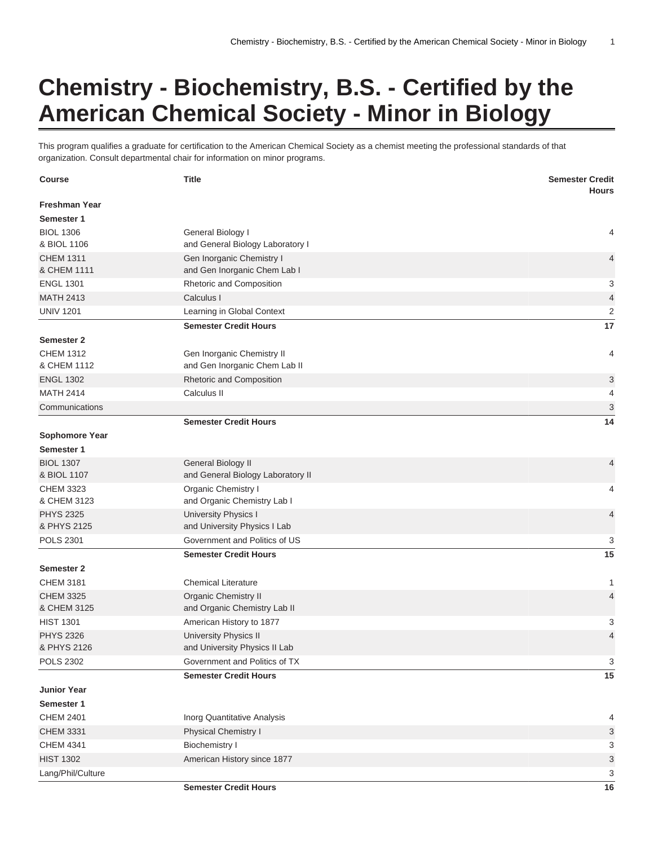## **Chemistry - Biochemistry, B.S. - Certified by the American Chemical Society - Minor in Biology**

This program qualifies a graduate for certification to the American Chemical Society as a chemist meeting the professional standards of that organization. Consult departmental chair for information on minor programs.

| <b>Course</b>                   | <b>Title</b>                                         | <b>Semester Credit</b>    |
|---------------------------------|------------------------------------------------------|---------------------------|
| <b>Freshman Year</b>            |                                                      | <b>Hours</b>              |
| Semester 1                      |                                                      |                           |
| <b>BIOL 1306</b>                | General Biology I                                    | 4                         |
| & BIOL 1106                     | and General Biology Laboratory I                     |                           |
| <b>CHEM 1311</b>                | Gen Inorganic Chemistry I                            | 4                         |
| & CHEM 1111                     | and Gen Inorganic Chem Lab I                         |                           |
| <b>ENGL 1301</b>                | Rhetoric and Composition                             | 3                         |
| <b>MATH 2413</b>                | Calculus I                                           | $\overline{\mathcal{L}}$  |
| <b>UNIV 1201</b>                | Learning in Global Context                           | $\overline{2}$            |
|                                 | <b>Semester Credit Hours</b>                         | 17                        |
| <b>Semester 2</b>               |                                                      |                           |
| <b>CHEM 1312</b>                | Gen Inorganic Chemistry II                           | 4                         |
| & CHEM 1112                     | and Gen Inorganic Chem Lab II                        |                           |
| <b>ENGL 1302</b>                | Rhetoric and Composition                             | 3                         |
| <b>MATH 2414</b>                | Calculus II                                          | 4                         |
| Communications                  |                                                      | $\ensuremath{\mathsf{3}}$ |
|                                 | <b>Semester Credit Hours</b>                         | 14                        |
| <b>Sophomore Year</b>           |                                                      |                           |
| Semester 1                      |                                                      |                           |
| <b>BIOL 1307</b>                | General Biology II                                   | 4                         |
| & BIOL 1107                     | and General Biology Laboratory II                    |                           |
| <b>CHEM 3323</b>                | Organic Chemistry I                                  | 4                         |
| & CHEM 3123                     | and Organic Chemistry Lab I                          |                           |
| <b>PHYS 2325</b><br>& PHYS 2125 | University Physics I<br>and University Physics I Lab | 4                         |
| <b>POLS 2301</b>                | Government and Politics of US                        | 3                         |
|                                 | <b>Semester Credit Hours</b>                         | 15                        |
| <b>Semester 2</b>               |                                                      |                           |
| <b>CHEM 3181</b>                | <b>Chemical Literature</b>                           | 1                         |
| <b>CHEM 3325</b>                | <b>Organic Chemistry II</b>                          | 4                         |
| & CHEM 3125                     | and Organic Chemistry Lab II                         |                           |
| <b>HIST 1301</b>                | American History to 1877                             | 3                         |
| <b>PHYS 2326</b>                | University Physics II                                | $\overline{4}$            |
| & PHYS 2126                     | and University Physics II Lab                        |                           |
| <b>POLS 2302</b>                | Government and Politics of TX                        | 3                         |
|                                 | <b>Semester Credit Hours</b>                         | 15                        |
| <b>Junior Year</b>              |                                                      |                           |
| Semester 1                      |                                                      |                           |
| <b>CHEM 2401</b>                | Inorg Quantitative Analysis                          | 4                         |
| <b>CHEM 3331</b>                | Physical Chemistry I                                 | 3                         |
| <b>CHEM 4341</b>                | <b>Biochemistry I</b>                                | 3                         |
| <b>HIST 1302</b>                | American History since 1877                          | 3                         |
| Lang/Phil/Culture               |                                                      | 3                         |
|                                 | <b>Semester Credit Hours</b>                         | 16                        |